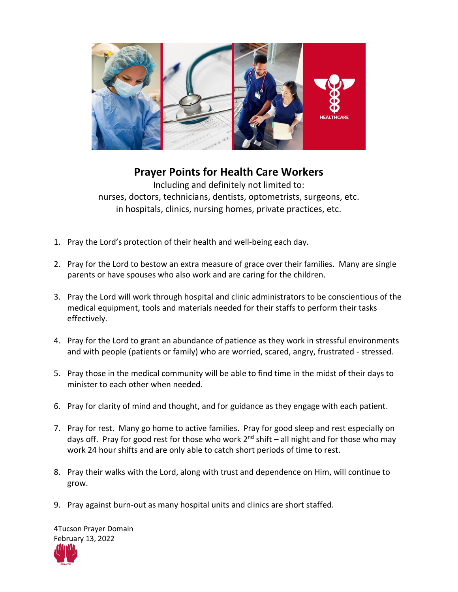

## **Prayer Points for Health Care Workers**

Including and definitely not limited to: nurses, doctors, technicians, dentists, optometrists, surgeons, etc. in hospitals, clinics, nursing homes, private practices, etc.

- 1. Pray the Lord's protection of their health and well-being each day.
- 2. Pray for the Lord to bestow an extra measure of grace over their families. Many are single parents or have spouses who also work and are caring for the children.
- 3. Pray the Lord will work through hospital and clinic administrators to be conscientious of the medical equipment, tools and materials needed for their staffs to perform their tasks effectively.
- 4. Pray for the Lord to grant an abundance of patience as they work in stressful environments and with people (patients or family) who are worried, scared, angry, frustrated - stressed.
- 5. Pray those in the medical community will be able to find time in the midst of their days to minister to each other when needed.
- 6. Pray for clarity of mind and thought, and for guidance as they engage with each patient.
- 7. Pray for rest. Many go home to active families. Pray for good sleep and rest especially on days off. Pray for good rest for those who work  $2^{nd}$  shift – all night and for those who may work 24 hour shifts and are only able to catch short periods of time to rest.
- 8. Pray their walks with the Lord, along with trust and dependence on Him, will continue to grow.
- 9. Pray against burn-out as many hospital units and clinics are short staffed.

4Tucson Prayer Domain February 13, 2022